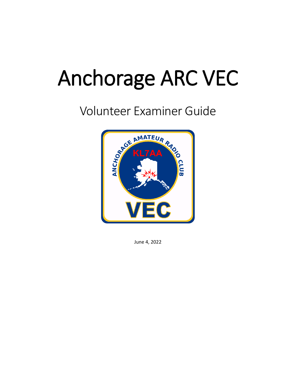# Anchorage ARC VEC

# Volunteer Examiner Guide



June 4, 2022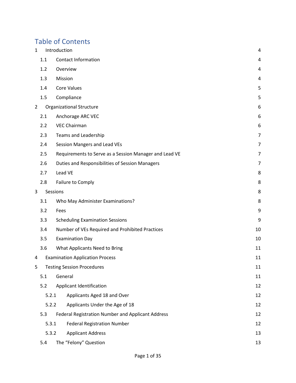# Table of Contents

| $\mathbf{1}$   |       | Introduction                                           | 4  |
|----------------|-------|--------------------------------------------------------|----|
|                | 1.1   | <b>Contact Information</b>                             | 4  |
|                | 1.2   | Overview                                               | 4  |
|                | 1.3   | Mission                                                | 4  |
|                | 1.4   | <b>Core Values</b>                                     | 5  |
|                | 1.5   | Compliance                                             | 5  |
| $\overline{2}$ |       | <b>Organizational Structure</b>                        | 6  |
|                | 2.1   | Anchorage ARC VEC                                      | 6  |
|                | 2.2   | <b>VEC Chairman</b>                                    | 6  |
|                | 2.3   | Teams and Leadership                                   | 7  |
|                | 2.4   | Session Mangers and Lead VEs                           | 7  |
|                | 2.5   | Requirements to Serve as a Session Manager and Lead VE | 7  |
|                | 2.6   | Duties and Responsibilities of Session Managers        | 7  |
|                | 2.7   | Lead VE                                                | 8  |
|                | 2.8   | Failure to Comply                                      | 8  |
| 3              |       | Sessions                                               | 8  |
|                | 3.1   | Who May Administer Examinations?                       | 8  |
|                | 3.2   | Fees                                                   | 9  |
|                | 3.3   | <b>Scheduling Examination Sessions</b>                 | 9  |
|                | 3.4   | Number of VEs Required and Prohibited Practices        | 10 |
|                | 3.5   | <b>Examination Day</b>                                 | 10 |
|                | 3.6   | What Applicants Need to Bring                          | 11 |
| 4              |       | <b>Examination Application Process</b>                 | 11 |
| 5              |       | <b>Testing Session Procedures</b>                      |    |
|                | 5.1   | General                                                |    |
|                | 5.2   | Applicant Identification                               | 12 |
|                | 5.2.1 | Applicants Aged 18 and Over                            | 12 |
|                | 5.2.2 | Applicants Under the Age of 18                         | 12 |
|                | 5.3   | Federal Registration Number and Applicant Address      | 12 |
|                | 5.3.1 | <b>Federal Registration Number</b>                     | 12 |
|                | 5.3.2 | <b>Applicant Address</b>                               | 13 |
|                | 5.4   | The "Felony" Question                                  | 13 |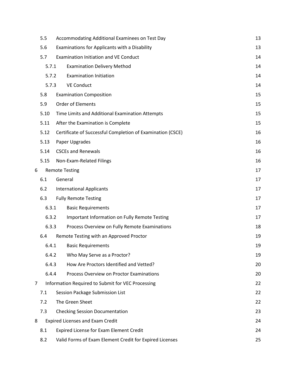|   | 5.5   |         | Accommodating Additional Examinees on Test Day             | 13 |
|---|-------|---------|------------------------------------------------------------|----|
|   | 5.6   |         | Examinations for Applicants with a Disability              | 13 |
|   | 5.7   |         | <b>Examination Initiation and VE Conduct</b>               | 14 |
|   | 5.7.1 |         | <b>Examination Delivery Method</b>                         | 14 |
|   | 5.7.2 |         | <b>Examination Initiation</b>                              | 14 |
|   | 5.7.3 |         | <b>VE Conduct</b>                                          | 14 |
|   | 5.8   |         | <b>Examination Composition</b>                             | 15 |
|   | 5.9   |         | <b>Order of Elements</b>                                   | 15 |
|   | 5.10  |         | Time Limits and Additional Examination Attempts            | 15 |
|   | 5.11  |         | After the Examination is Complete                          | 15 |
|   | 5.12  |         | Certificate of Successful Completion of Examination (CSCE) | 16 |
|   | 5.13  |         | Paper Upgrades                                             | 16 |
|   | 5.14  |         | <b>CSCEs and Renewals</b>                                  | 16 |
|   | 5.15  |         | Non-Exam-Related Filings                                   | 16 |
| 6 |       |         | <b>Remote Testing</b>                                      | 17 |
|   | 6.1   | General |                                                            | 17 |
|   | 6.2   |         | <b>International Applicants</b>                            | 17 |
|   | 6.3   |         | <b>Fully Remote Testing</b>                                | 17 |
|   | 6.3.1 |         | <b>Basic Requirements</b>                                  | 17 |
|   | 6.3.2 |         | Important Information on Fully Remote Testing              | 17 |
|   | 6.3.3 |         | Process Overview on Fully Remote Examinations              | 18 |
|   | 6.4   |         | Remote Testing with an Approved Proctor                    | 19 |
|   | 6.4.1 |         | <b>Basic Requirements</b>                                  | 19 |
|   | 6.4.2 |         | Who May Serve as a Proctor?                                | 19 |
|   | 6.4.3 |         | How Are Proctors Identified and Vetted?                    | 20 |
|   | 6.4.4 |         | Process Overview on Proctor Examinations                   | 20 |
| 7 |       |         | Information Required to Submit for VEC Processing          | 22 |
|   | 7.1   |         | Session Package Submission List                            | 22 |
|   | 7.2   |         | The Green Sheet                                            | 22 |
|   | 7.3   |         | <b>Checking Session Documentation</b>                      | 23 |
| 8 |       |         | <b>Expired Licenses and Exam Credit</b>                    | 24 |
|   | 8.1   |         | Expired License for Exam Element Credit                    | 24 |
|   | 8.2   |         | Valid Forms of Exam Element Credit for Expired Licenses    | 25 |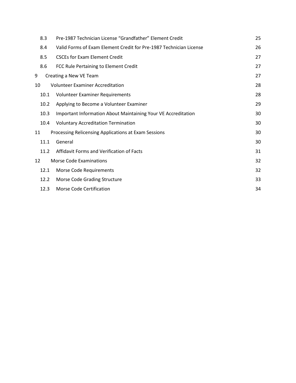| 8.3  | Pre-1987 Technician License "Grandfather" Element Credit           | 25 |
|------|--------------------------------------------------------------------|----|
| 8.4  | Valid Forms of Exam Element Credit for Pre-1987 Technician License | 26 |
| 8.5  | <b>CSCEs for Exam Element Credit</b>                               | 27 |
| 8.6  | FCC Rule Pertaining to Element Credit                              | 27 |
| 9    | Creating a New VE Team                                             | 27 |
| 10   | <b>Volunteer Examiner Accreditation</b>                            | 28 |
| 10.1 | Volunteer Examiner Requirements                                    | 28 |
| 10.2 | Applying to Become a Volunteer Examiner                            | 29 |
| 10.3 | Important Information About Maintaining Your VE Accreditation      | 30 |
| 10.4 | <b>Voluntary Accreditation Termination</b>                         | 30 |
| 11   | Processing Relicensing Applications at Exam Sessions               | 30 |
| 11.1 | General                                                            | 30 |
| 11.2 | Affidavit Forms and Verification of Facts                          | 31 |
| 12   | <b>Morse Code Examinations</b>                                     | 32 |
| 12.1 | Morse Code Requirements                                            | 32 |
| 12.2 | Morse Code Grading Structure                                       | 33 |
| 12.3 | Morse Code Certification                                           | 34 |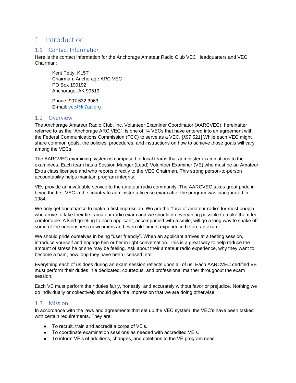### <span id="page-4-0"></span>1 Introduction

#### <span id="page-4-1"></span>1.1 Contact Information

Here is the contact information for the Anchorage Amateur Radio Club VEC Headquarters and VEC Chairman:

Kent Petty, KL5T Chairman, Anchorage ARC VEC PO Box 190192 Anchorage, AK 99519

Phone: 907.632.3963 E-mail: [vec@kl7aa.org](mailto:vec@kl7aa.org)

#### <span id="page-4-2"></span>1.2 Overview

The Anchorage Amateur Radio Club, Inc. Volunteer Examiner Coordinator (AARCVEC), hereinafter referred to as the "Anchorage ARC VEC", is one of 14 VECs that have entered into an agreement with the Federal Communications Commission (FCC) to serve as a VEC. [§97.521] While each VEC might share common goals, the policies, procedures, and instructions on how to achieve those goals will vary among the VECs.

The AARCVEC examining system is comprised of local teams that administer examinations to the examinees. Each team has a Session Manger (Lead) Volunteer Examiner (VE) who must be an Amateur Extra class licensee and who reports directly to the VEC Chairman. This strong person-to-person accountability helps maintain program integrity.

VEs provide an invaluable service to the amateur radio community. The AARCVEC takes great pride in being the first VEC in the country to administer a license exam after the program was inaugurated in 1984.

We only get one chance to make a first impression. We are the "face of amateur radio" for most people who arrive to take their first amateur radio exam and we should do everything possible to make them feel comfortable. A kind greeting to each applicant, accompanied with a smile, will go a long way to shake off some of the nervousness newcomers and even old-timers experience before an exam.

We should pride ourselves in being "user friendly". When an applicant arrives at a testing session, introduce yourself and engage him or her in light conversation. This is a great way to help reduce the amount of stress he or she may be feeling. Ask about their amateur radio experience, why they want to become a ham, how long they have been licensed, etc.

Everything each of us does during an exam session reflects upon all of us. Each AARCVEC certified VE must perform their duties in a dedicated, courteous, and professional manner throughout the exam session.

Each VE must perform their duties fairly, honestly, and accurately without favor or prejudice. Nothing we do individually or collectively should give the impression that we are doing otherwise.

#### <span id="page-4-3"></span>1.3 Mission

In accordance with the laws and agreements that set up the VEC system, the VEC's have been tasked with certain requirements. They are:

- To recruit, train and accredit a corps of VE's.
- To coordinate examination sessions as needed with accredited VE's.
- To inform VE's of additions, changes, and deletions to the VE program rules.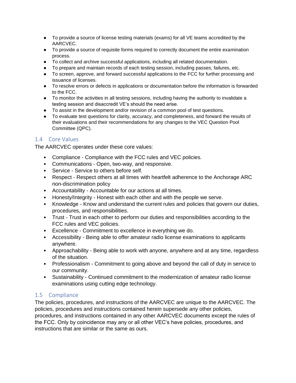- To provide a source of license testing materials (exams) for all VE teams accredited by the AARCVEC.
- To provide a source of requisite forms required to correctly document the entire examination process.
- To collect and archive successful applications, including all related documentation.
- To prepare and maintain records of each testing session, including passes, failures, etc.
- To screen, approve, and forward successful applications to the FCC for further processing and issuance of licenses.
- To resolve errors or defects in applications or documentation before the information is forwarded to the FCC.
- To monitor the activities in all testing sessions, including having the authority to invalidate a testing session and disaccredit VE's should the need arise.
- To assist in the development and/or revision of a common pool of test questions.
- To evaluate test questions for clarity, accuracy, and completeness, and forward the results of their evaluations and their recommendations for any changes to the VEC Question Pool Committee (QPC).

#### <span id="page-5-0"></span>1.4 Core Values

The AARCVEC operates under these core values:

- Compliance Compliance with the FCC rules and VEC policies.
- Communications Open, two-way, and responsive.
- Service Service to others before self.
- Respect Respect others at all times with heartfelt adherence to the Anchorage ARC non-discrimination policy
- Accountability Accountable for our actions at all times.
- Honesty/Integrity Honest with each other and with the people we serve.
- Knowledge Know and understand the current rules and policies that govern our duties, procedures, and responsibilities.
- Trust Trust in each other to perform our duties and responsibilities according to the FCC rules and VEC policies.
- Excellence Commitment to excellence in everything we do.
- Accessibility Being able to offer amateur radio license examinations to applicants anywhere.
- Approachability Being able to work with anyone, anywhere and at any time, regardless of the situation.
- Professionalism Commitment to going above and beyond the call of duty in service to our community.
- Sustainability Continued commitment to the modernization of amateur radio license examinations using cutting edge technology.

#### <span id="page-5-1"></span>1.5 Compliance

The policies, procedures, and instructions of the AARCVEC are unique to the AARCVEC. The policies, procedures and instructions contained herein supersede any other policies, procedures, and instructions contained in any other AARCVEC documents except the rules of the FCC. Only by coincidence may any or all other VEC's have policies, procedures, and instructions that are similar or the same as ours.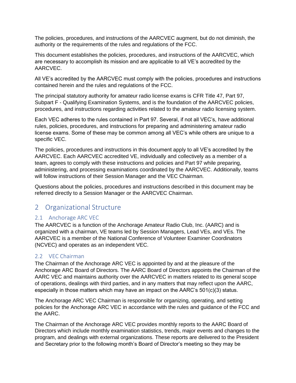The policies, procedures, and instructions of the AARCVEC augment, but do not diminish, the authority or the requirements of the rules and regulations of the FCC.

This document establishes the policies, procedures, and instructions of the AARCVEC, which are necessary to accomplish its mission and are applicable to all VE's accredited by the AARCVEC.

All VE's accredited by the AARCVEC must comply with the policies, procedures and instructions contained herein and the rules and regulations of the FCC.

The principal statutory authority for amateur radio license exams is CFR Title 47, Part 97, Subpart F - Qualifying Examination Systems, and is the foundation of the AARCVEC policies, procedures, and instructions regarding activities related to the amateur radio licensing system.

Each VEC adheres to the rules contained in Part 97. Several, if not all VEC's, have additional rules, policies, procedures, and instructions for preparing and administering amateur radio license exams. Some of these may be common among all VEC's while others are unique to a specific VEC.

The policies, procedures and instructions in this document apply to all VE's accredited by the AARCVEC. Each AARCVEC accredited VE, individually and collectively as a member of a team, agrees to comply with these instructions and policies and Part 97 while preparing, administering, and processing examinations coordinated by the AARCVEC. Additionally, teams will follow instructions of their Session Manager and the VEC Chairman.

Questions about the policies, procedures and instructions described in this document may be referred directly to a Session Manager or the AARCVEC Chairman.

## <span id="page-6-0"></span>2 Organizational Structure

#### <span id="page-6-1"></span>2.1 Anchorage ARC VEC

The AARCVEC is a function of the Anchorage Amateur Radio Club, Inc. (AARC) and is organized with a chairman, VE teams led by Session Managers, Lead VEs, and VEs. The AARCVEC is a member of the National Conference of Volunteer Examiner Coordinators (NCVEC) and operates as an independent VEC.

#### <span id="page-6-2"></span>2.2 VEC Chairman

The Chairman of the Anchorage ARC VEC is appointed by and at the pleasure of the Anchorage ARC Board of Directors. The AARC Board of Directors appoints the Chairman of the AARC VEC and maintains authority over the AARCVEC in matters related to its general scope of operations, dealings with third parties, and in any matters that may reflect upon the AARC, especially in those matters which may have an impact on the AARC's 501(c)(3) status.

The Anchorage ARC VEC Chairman is responsible for organizing, operating, and setting policies for the Anchorage ARC VEC in accordance with the rules and guidance of the FCC and the AARC.

The Chairman of the Anchorage ARC VEC provides monthly reports to the AARC Board of Directors which include monthly examination statistics, trends, major events and changes to the program, and dealings with external organizations. These reports are delivered to the President and Secretary prior to the following month's Board of Director's meeting so they may be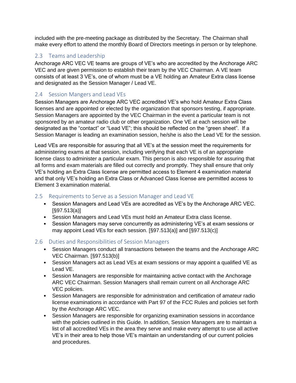included with the pre-meeting package as distributed by the Secretary. The Chairman shall make every effort to attend the monthly Board of Directors meetings in person or by telephone.

#### <span id="page-7-0"></span>2.3 Teams and Leadership

Anchorage ARC VEC VE teams are groups of VE's who are accredited by the Anchorage ARC VEC and are given permission to establish their team by the VEC Chairman. A VE team consists of at least 3 VE's, one of whom must be a VE holding an Amateur Extra class license and designated as the Session Manager / Lead VE.

#### <span id="page-7-1"></span>2.4 Session Mangers and Lead VEs

Session Managers are Anchorage ARC VEC accredited VE's who hold Amateur Extra Class licenses and are appointed or elected by the organization that sponsors testing, if appropriate. Session Managers are appointed by the VEC Chairman in the event a particular team is not sponsored by an amateur radio club or other organization. One VE at each session will be designated as the "contact" or "Lead VE"; this should be reflected on the "green sheet". If a Session Manager is leading an examination session, he/she is also the Lead VE for the session.

Lead VEs are responsible for assuring that all VE's at the session meet the requirements for administering exams at that session, including verifying that each VE is of an appropriate license class to administer a particular exam. This person is also responsible for assuring that all forms and exam materials are filled out correctly and promptly. They shall ensure that only VE's holding an Extra Class license are permitted access to Element 4 examination material and that only VE's holding an Extra Class or Advanced Class license are permitted access to Element 3 examination material.

#### <span id="page-7-2"></span>2.5 Requirements to Serve as a Session Manager and Lead VE

- Session Managers and Lead VEs are accredited as VE's by the Anchorage ARC VEC. [§97.513(a)]
- Session Managers and Lead VEs must hold an Amateur Extra class license.
- Session Managers may serve concurrently as administering VE's at exam sessions or may appoint Lead VEs for each session. [§97.513(a)] and [§97.513(c)]

#### <span id="page-7-3"></span>2.6 Duties and Responsibilities of Session Managers

- Session Managers conduct all transactions between the teams and the Anchorage ARC VEC Chairman. [§97.513(b)]
- Session Managers act as Lead VEs at exam sessions or may appoint a qualified VE as Lead VE.
- Session Managers are responsible for maintaining active contact with the Anchorage ARC VEC Chairman. Session Managers shall remain current on all Anchorage ARC VEC policies.
- Session Managers are responsible for administration and certification of amateur radio license examinations in accordance with Part 97 of the FCC Rules and policies set forth by the Anchorage ARC VEC.
- Session Managers are responsible for organizing examination sessions in accordance with the policies outlined in this Guide. In addition, Session Managers are to maintain a list of all accredited VEs in the area they serve and make every attempt to use all active VE's in their area to help those VE's maintain an understanding of our current policies and procedures.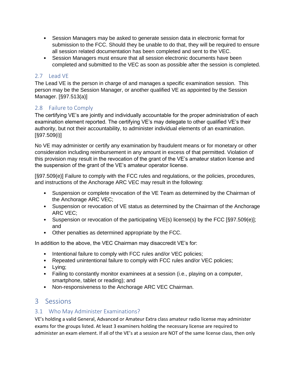- Session Managers may be asked to generate session data in electronic format for submission to the FCC. Should they be unable to do that, they will be required to ensure all session related documentation has been completed and sent to the VEC.
- Session Managers must ensure that all session electronic documents have been completed and submitted to the VEC as soon as possible after the session is completed.

#### <span id="page-8-0"></span>2.7 Lead VE

The Lead VE is the person in charge of and manages a specific examination session. This person may be the Session Manager, or another qualified VE as appointed by the Session Manager. [§97.513(a)]

#### <span id="page-8-1"></span>2.8 Failure to Comply

The certifying VE's are jointly and individually accountable for the proper administration of each examination element reported. The certifying VE's may delegate to other qualified VE's their authority, but not their accountability, to administer individual elements of an examination. [§97.509(i)]

No VE may administer or certify any examination by fraudulent means or for monetary or other consideration including reimbursement in any amount in excess of that permitted. Violation of this provision may result in the revocation of the grant of the VE's amateur station license and the suspension of the grant of the VE's amateur operator license.

[§97.509(e)] Failure to comply with the FCC rules and regulations, or the policies, procedures, and instructions of the Anchorage ARC VEC may result in the following:

- Suspension or complete revocation of the VE Team as determined by the Chairman of the Anchorage ARC VEC;
- Suspension or revocation of VE status as determined by the Chairman of the Anchorage ARC VEC;
- Suspension or revocation of the participating VE(s) license(s) by the FCC [§97.509(e)]; and
- Other penalties as determined appropriate by the FCC.

In addition to the above, the VEC Chairman may disaccredit VE's for:

- Intentional failure to comply with FCC rules and/or VEC policies;
- Repeated unintentional failure to comply with FCC rules and/or VEC policies;
- Lying;
- Failing to constantly monitor examinees at a session (i.e., playing on a computer, smartphone, tablet or reading); and
- Non-responsiveness to the Anchorage ARC VEC Chairman.

# <span id="page-8-2"></span>3 Sessions

#### <span id="page-8-3"></span>3.1 Who May Administer Examinations?

VE's holding a valid General, Advanced or Amateur Extra class amateur radio license may administer exams for the groups listed. At least 3 examiners holding the necessary license are required to administer an exam element. If all of the VE's at a session are NOT of the same license class, then only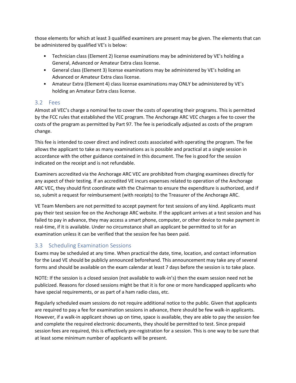those elements for which at least 3 qualified examiners are present may be given. The elements that can be administered by qualified VE's is below:

- Technician class (Element 2) license examinations may be administered by VE's holding a General, Advanced or Amateur Extra class license.
- General class (Element 3) license examinations may be administered by VE's holding an Advanced or Amateur Extra class license.
- Amateur Extra (Element 4) class license examinations may ONLY be administered by VE's holding an Amateur Extra class license.

#### <span id="page-9-0"></span>3.2 Fees

Almost all VEC's charge a nominal fee to cover the costs of operating their programs. This is permitted by the FCC rules that established the VEC program. The Anchorage ARC VEC charges a fee to cover the costs of the program as permitted by Part 97. The fee is periodically adjusted as costs of the program change.

This fee is intended to cover direct and indirect costs associated with operating the program. The fee allows the applicant to take as many examinations as is possible and practical at a single session in accordance with the other guidance contained in this document. The fee is good for the session indicated on the receipt and is not refundable.

Examiners accredited via the Anchorage ARC VEC are prohibited from charging examinees directly for any aspect of their testing. If an accredited VE incurs expenses related to operation of the Anchorage ARC VEC, they should first coordinate with the Chairman to ensure the expenditure is authorized, and if so, submit a request for reimbursement (with receipts) to the Treasurer of the Anchorage ARC.

VE Team Members are not permitted to accept payment for test sessions of any kind. Applicants must pay their test session fee on the Anchorage ARC website. If the applicant arrives at a test session and has failed to pay in advance, they may access a smart phone, computer, or other device to make payment in real-time, if it is available. Under no circumstance shall an applicant be permitted to sit for an examination unless it can be verified that the session fee has been paid.

#### <span id="page-9-1"></span>3.3 Scheduling Examination Sessions

Exams may be scheduled at any time. When practical the date, time, location, and contact information for the Lead VE should be publicly announced beforehand. This announcement may take any of several forms and should be available on the exam calendar at least 7 days before the session is to take place.

NOTE: If the session is a closed session (not available to walk-in's) then the exam session need not be publicized. Reasons for closed sessions might be that it is for one or more handicapped applicants who have special requirements, or as part of a ham radio class, etc.

Regularly scheduled exam sessions do not require additional notice to the public. Given that applicants are required to pay a fee for examination sessions in advance, there should be few walk-in applicants. However, if a walk-in applicant shows up on time, space is available, they are able to pay the session fee and complete the required electronic documents, they should be permitted to test. Since prepaid session fees are required, this is effectively pre-registration for a session. This is one way to be sure that at least some minimum number of applicants will be present.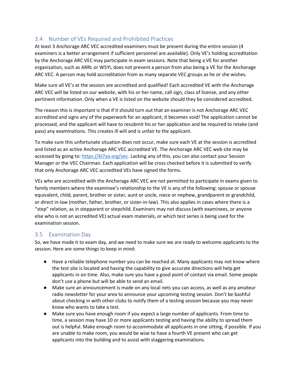#### <span id="page-10-0"></span>3.4 Number of VEs Required and Prohibited Practices

At least 3 Anchorage ARC VEC accredited examiners must be present during the entire session (4 examiners is a better arrangement if sufficient personnel are available). Only VE's holding accreditation by the Anchorage ARC VEC may participate in exam sessions. Note that being a VE for another organization, such as ARRL or W5YI, does not prevent a person from also being a VE for the Anchorage ARC VEC. A person may hold accreditation from as many separate VEC groups as he or she wishes.

Make sure all VE's at the session are accredited and qualified! Each accredited VE with the Anchorage ARC VEC will be listed on our website, with his or her name, call sign, class of license, and any other pertinent information. Only when a VE is listed on the website should they be considered accredited.

The reason this is important is that if it should turn out that an examiner is not Anchorage ARC VEC accredited and signs any of the paperwork for an applicant, it becomes void! The application cannot be processed, and the applicant will have to resubmit his or her application and be required to retake (and pass) any examinations. This creates ill will and is unfair to the applicant.

To make sure this unfortunate situation does not occur, make sure each VE at the session is accredited and listed as an active Anchorage ARC VEC accredited VE. The Anchorage ARC VEC web site may be accessed by going to[: https://kl7aa.org/vec.](https://kl7aa.org/vec) Lacking any of this, you can also contact your Session Manager or the VEC Chairman. Each application will be cross checked before it is submitted to verify that only Anchorage ARC VEC accredited VEs have signed the forms.

VEs who are accredited with the Anchorage ARC VEC are not permitted to participate in exams given to family members where the examinee's relationship to the VE is any of the following: spouse or spouse equivalent, child, parent, brother or sister, aunt or uncle, niece or nephew, grandparent or grandchild, or direct in-law (mother, father, brother, or sister-in-law). This also applies in cases where there is a "step" relation, as in stepparent or stepchild. Examiners may not discuss (with examinees, or anyone else who is not an accredited VE) actual exam materials, or which test series is being used for the examination session.

#### <span id="page-10-1"></span>3.5 Examination Day

So, we have made it to exam day, and we need to make sure we are ready to welcome applicants to the session. Here are some things to keep in mind:

- Have a reliable telephone number you can be reached at. Many applicants may not know where the test site is located and having the capability to give accurate directions will help get applicants in on time. Also, make sure you have a good point of contact via email. Some people don't use a phone but will be able to send an email.
- Make sure an announcement is made on any local nets you can access, as well as any amateur radio newsletter for your area to announce your upcoming testing session. Don't be bashful about checking in with other clubs to notify them of a testing session because you may never know who wants to take a test.
- Make sure you have enough room if you expect a large number of applicants. From time to time, a session may have 10 or more applicants testing and having the ability to spread them out is helpful. Make enough room to accommodate all applicants in one sitting, if possible. If you are unable to make room, you would be wise to have a fourth VE present who can get applicants into the building and to assist with staggering examinations.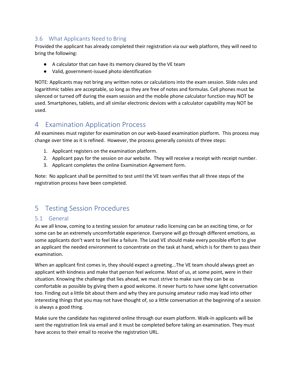#### <span id="page-11-0"></span>3.6 What Applicants Need to Bring

Provided the applicant has already completed their registration via our web platform, they will need to bring the following:

- A calculator that can have its memory cleared by the VE team
- Valid, government-issued photo identification

NOTE: Applicants may not bring any written notes or calculations into the exam session. Slide rules and logarithmic tables are acceptable, so long as they are free of notes and formulas. Cell phones must be silenced or turned off during the exam session and the mobile phone calculator function may NOT be used. Smartphones, tablets, and all similar electronic devices with a calculator capability may NOT be used.

# <span id="page-11-1"></span>4 Examination Application Process

All examinees must register for examination on our web-based examination platform. This process may change over time as it is refined. However, the process generally consists of three steps:

- 1. Applicant registers on the examination platform.
- 2. Applicant pays for the session on our website. They will receive a receipt with receipt number.
- 3. Applicant completes the online Examination Agreement form.

Note: No applicant shall be permitted to test until the VE team verifies that all three steps of the registration process have been completed.

# <span id="page-11-2"></span>5 Testing Session Procedures

#### <span id="page-11-3"></span>5.1 General

As we all know, coming to a testing session for amateur radio licensing can be an exciting time, or for some can be an extremely uncomfortable experience. Everyone will go through different emotions, as some applicants don't want to feel like a failure. The Lead VE should make every possible effort to give an applicant the needed environment to concentrate on the task at hand, which is for them to pass their examination.

When an applicant first comes in, they should expect a greeting...The VE team should always greet an applicant with kindness and make that person feel welcome. Most of us, at some point, were in their situation. Knowing the challenge that lies ahead, we must strive to make sure they can be as comfortable as possible by giving them a good welcome. It never hurts to have some light conversation too. Finding out a little bit about them and why they are pursuing amateur radio may lead into other interesting things that you may not have thought of, so a little conversation at the beginning of a session is always a good thing.

Make sure the candidate has registered online through our exam platform. Walk-in applicants will be sent the registration link via email and it must be completed before taking an examination. They must have access to their email to receive the registration URL.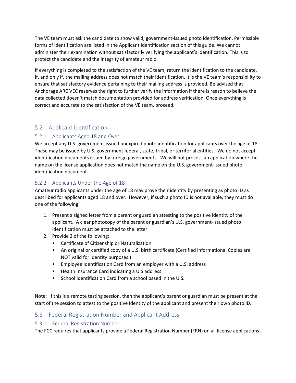The VE team must ask the candidate to show valid, government-issued photo identification. Permissible forms of identification are listed in the Applicant Identification section of this guide. We cannot administer their examination without satisfactorily verifying the applicant's identification. This is to protect the candidate and the integrity of amateur radio.

If everything is completed to the satisfaction of the VE team, return the identification to the candidate. If, and only if, the mailing address does not match their identification, it is the VE team's responsibility to ensure that satisfactory evidence pertaining to their mailing address is provided. Be advised that Anchorage ARC VEC reserves the right to further verify the information if there is reason to believe the data collected doesn't match documentation provided for address verification. Once everything is correct and accurate to the satisfaction of the VE team, proceed.

#### <span id="page-12-0"></span>5.2 Applicant Identification

#### <span id="page-12-1"></span>5.2.1 Applicants Aged 18 and Over

We accept any U.S. government-issued unexpired photo identification for applicants over the age of 18. These may be issued by U.S. government federal, state, tribal, or territorial entities. We do not accept identification documents issued by foreign governments. We will not process an application where the name on the license application does not match the name on the U.S. government-issued photo identification document.

#### <span id="page-12-2"></span>5.2.2 Applicants Under the Age of 18

Amateur radio applicants under the age of 18 may prove their identity by presenting as photo ID as described for applicants aged 18 and over. However, if such a photo ID is not available, they must do one of the following:

- 1. Present a signed letter from a parent or guardian attesting to the positive identity of the applicant. A clear photocopy of the parent or guardian's U.S. government-issued photo identification must be attached to the letter.
- 2. Provide 2 of the following:
	- Certificate of Citizenship or Naturalization
	- An original or certified copy of a U.S. birth certificate (Certified Informational Copies are NOT valid for identity purposes.)
	- Employee Identification Card from an employer with a U.S. address
	- Health Insurance Card indicating a U.S address
	- School Identification Card from a school based in the U.S.

Note: If this is a remote testing session, then the applicant's parent or guardian must be present at the start of the session to attest to the positive Identity of the applicant and present their own photo ID.

#### <span id="page-12-3"></span>5.3 Federal Registration Number and Applicant Address

#### <span id="page-12-4"></span>5.3.1 Federal Registration Number

The FCC requires that applicants provide a Federal Registration Number (FRN) on all license applications.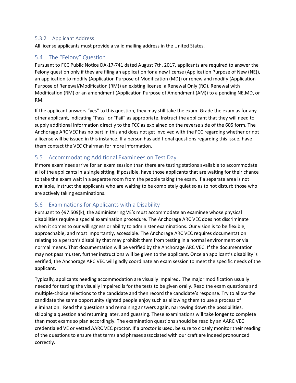#### <span id="page-13-0"></span>5.3.2 Applicant Address

All license applicants must provide a valid mailing address in the United States.

#### <span id="page-13-1"></span>5.4 The "Felony" Question

Pursuant to FCC Public Notice DA-17-741 dated August 7th, 2017, applicants are required to answer the Felony question only if they are filing an application for a new license (Application Purpose of New (NE)), an application to modify (Application Purpose of Modification (MD)) or renew and modify (Application Purpose of Renewal/Modification (RM)) an existing license, a Renewal Only (RO), Renewal with Modification (RM) or an amendment (Application Purpose of Amendment (AM)) to a pending NE,MD, or RM.

If the applicant answers "yes" to this question, they may still take the exam. Grade the exam as for any other applicant, indicating "Pass" or "Fail" as appropriate. Instruct the applicant that they will need to supply additional information directly to the FCC as explained on the reverse side of the 605 form. The Anchorage ARC VEC has no part in this and does not get involved with the FCC regarding whether or not a license will be issued in this instance. If a person has additional questions regarding this issue, have them contact the VEC Chairman for more information.

#### <span id="page-13-2"></span>5.5 Accommodating Additional Examinees on Test Day

If more examinees arrive for an exam session than there are testing stations available to accommodate all of the applicants in a single sitting, if possible, have those applicants that are waiting for their chance to take the exam wait in a separate room from the people taking the exam. If a separate area is not available, instruct the applicants who are waiting to be completely quiet so as to not disturb those who are actively taking examinations.

#### <span id="page-13-3"></span>5.6 Examinations for Applicants with a Disability

Pursuant to §97.509(k), the administering VE's must accommodate an examinee whose physical disabilities require a special examination procedure. The Anchorage ARC VEC does not discriminate when it comes to our willingness or ability to administer examinations. Our vision is to be flexible, approachable, and most importantly, accessible. The Anchorage ARC VEC requires documentation relating to a person's disability that may prohibit them from testing in a normal environment or via normal means. That documentation will be verified by the Anchorage ARC VEC. If the documentation may not pass muster, further instructions will be given to the applicant. Once an applicant's disability is verified, the Anchorage ARC VEC will gladly coordinate an exam session to meet the specific needs of the applicant.

Typically, applicants needing accommodation are visually impaired. The major modification usually needed for testing the visually impaired is for the tests to be given orally. Read the exam questions and multiple-choice selections to the candidate and then record the candidate's response. Try to allow the candidate the same opportunity sighted people enjoy such as allowing them to use a process of elimination. Read the questions and remaining answers again, narrowing down the possibilities, skipping a question and returning later, and guessing. These examinations will take longer to complete than most exams so plan accordingly. The examination questions should be read by an AARC VEC credentialed VE or vetted AARC VEC proctor. If a proctor is used, be sure to closely monitor their reading of the questions to ensure that terms and phrases associated with our craft are indeed pronounced correctly.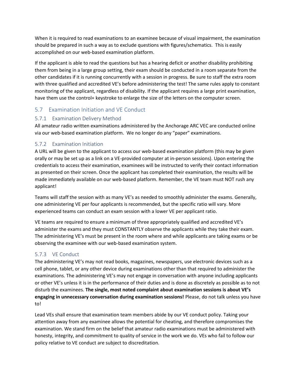When it is required to read examinations to an examinee because of visual impairment, the examination should be prepared in such a way as to exclude questions with figures/schematics. This is easily accomplished on our web-based examination platform.

If the applicant is able to read the questions but has a hearing deficit or another disability prohibiting them from being in a large group setting, their exam should be conducted in a room separate from the other candidates if it is running concurrently with a session in progress. Be sure to staff the extra room with three qualified and accredited VE's before administering the test! The same rules apply to constant monitoring of the applicant, regardless of disability. If the applicant requires a large print examination, have them use the control+ keystroke to enlarge the size of the letters on the computer screen.

#### <span id="page-14-0"></span>5.7 Examination Initiation and VE Conduct

#### <span id="page-14-1"></span>5.7.1 Examination Delivery Method

All amateur radio written examinations administered by the Anchorage ARC VEC are conducted online via our web-based examination platform. We no longer do any "paper" examinations.

#### <span id="page-14-2"></span>5.7.2 Examination Initiation

A URL will be given to the applicant to access our web-based examination platform (this may be given orally or may be set up as a link on a VE-provided computer at in-person sessions). Upon entering the credentials to access their examination, examinees will be instructed to verify their contact information as presented on their screen. Once the applicant has completed their examination, the results will be made immediately available on our web-based platform. Remember, the VE team must NOT rush any applicant!

Teams will staff the session with as many VE's as needed to smoothly administer the exams. Generally, one administering VE per four applicants is recommended, but the specific ratio will vary. More experienced teams can conduct an exam session with a lower VE per applicant ratio.

VE teams are required to ensure a minimum of three appropriately qualified and accredited VE's administer the exams and they must CONSTANTLY observe the applicants while they take their exam. The administering VE's must be present in the room where and while applicants are taking exams or be observing the examinee with our web-based examination system.

#### <span id="page-14-3"></span>5.7.3 VE Conduct

The administering VE's may not read books, magazines, newspapers, use electronic devices such as a cell phone, tablet, or any other device during examinations other than that required to administer the examinations. The administering VE's may not engage in conversation with anyone including applicants or other VE's unless it is in the performance of their duties and is done as discretely as possible as to not disturb the examinees. **The single, most noted complaint about examination sessions is about VE's engaging in unnecessary conversation during examination sessions!** Please, do not talk unless you have to!

Lead VEs shall ensure that examination team members abide by our VE conduct policy. Taking your attention away from any examinee allows the potential for cheating, and therefore compromises the examination. We stand firm on the belief that amateur radio examinations must be administered with honesty, integrity, and commitment to quality of service in the work we do. VEs who fail to follow our policy relative to VE conduct are subject to discreditation.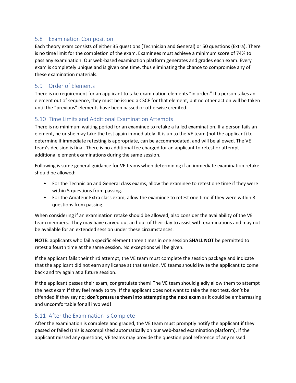#### <span id="page-15-0"></span>5.8 Examination Composition

Each theory exam consists of either 35 questions (Technician and General) or 50 questions (Extra). There is no time limit for the completion of the exam. Examinees must achieve a minimum score of 74% to pass any examination. Our web-based examination platform generates and grades each exam. Every exam is completely unique and is given one time, thus eliminating the chance to compromise any of these examination materials.

#### <span id="page-15-1"></span>5.9 Order of Elements

There is no requirement for an applicant to take examination elements "in order." If a person takes an element out of sequence, they must be issued a CSCE for that element, but no other action will be taken until the "previous" elements have been passed or otherwise credited.

#### <span id="page-15-2"></span>5.10 Time Limits and Additional Examination Attempts

There is no minimum waiting period for an examinee to retake a failed examination. If a person fails an element, he or she may take the test again immediately. It is up to the VE team (not the applicant) to determine if immediate retesting is appropriate, can be accommodated, and will be allowed. The VE team's decision is final. There is no additional fee charged for an applicant to retest or attempt additional element examinations during the same session.

Following is some general guidance for VE teams when determining if an immediate examination retake should be allowed:

- For the Technician and General class exams, allow the examinee to retest one time if they were within 5 questions from passing.
- For the Amateur Extra class exam, allow the examinee to retest one time if they were within 8 questions from passing.

When considering if an examination retake should be allowed, also consider the availability of the VE team members. They may have carved out an hour of their day to assist with examinations and may not be available for an extended session under these circumstances.

**NOTE:** applicants who fail a specific element three times in one session **SHALL NOT** be permitted to retest a fourth time at the same session. No exceptions will be given.

If the applicant fails their third attempt, the VE team must complete the session package and indicate that the applicant did not earn any license at that session. VE teams should invite the applicant to come back and try again at a future session.

If the applicant passes their exam, congratulate them! The VE team should gladly allow them to attempt the next exam if they feel ready to try. If the applicant does not want to take the next test, don't be offended if they say no; **don't pressure them into attempting the next exam** as it could be embarrassing and uncomfortable for all involved!

#### <span id="page-15-3"></span>5.11 After the Examination is Complete

After the examination is complete and graded, the VE team must promptly notify the applicant if they passed or failed (this is accomplished automatically on our web-based examination platform). If the applicant missed any questions, VE teams may provide the question pool reference of any missed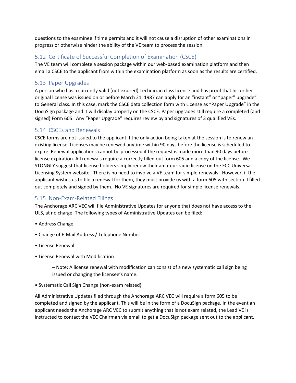questions to the examinee if time permits and it will not cause a disruption of other examinations in progress or otherwise hinder the ability of the VE team to process the session.

#### <span id="page-16-0"></span>5.12 Certificate of Successful Completion of Examination (CSCE)

The VE team will complete a session package within our web-based examination platform and then email a CSCE to the applicant from within the examination platform as soon as the results are certified.

#### <span id="page-16-1"></span>5.13 Paper Upgrades

A person who has a currently valid (not expired) Technician class license and has proof that his or her original license was issued on or before March 21, 1987 can apply for an "instant" or "paper" upgrade" to General class. In this case, mark the CSCE data collection form with License as "Paper Upgrade" in the DocuSign package and it will display properly on the CSCE. Paper upgrades still require a completed (and signed) Form 605. Any "Paper Upgrade" requires review by and signatures of 3 qualified VEs.

#### <span id="page-16-2"></span>5.14 CSCEs and Renewals

CSCE forms are not issued to the applicant if the only action being taken at the session is to renew an existing license. Licenses may be renewed anytime within 90 days before the license is scheduled to expire. Renewal applications cannot be processed if the request is made more than 90 days before license expiration. All renewals require a correctly filled out form 605 and a copy of the license. We STONGLY suggest that license holders simply renew their amateur radio license on the FCC Universal Licensing System website. There is no need to involve a VE team for simple renewals. However, if the applicant wishes us to file a renewal for them, they must provide us with a form 605 with section II filled out completely and signed by them. No VE signatures are required for simple license renewals.

#### <span id="page-16-3"></span>5.15 Non-Exam-Related Filings

The Anchorage ARC VEC will file Administrative Updates for anyone that does not have access to the ULS, at no charge. The following types of Administrative Updates can be filed:

- Address Change
- Change of E-Mail Address / Telephone Number
- License Renewal
- License Renewal with Modification

– Note: A license renewal with modification can consist of a new systematic call sign being issued or changing the licensee's name.

• Systematic Call Sign Change (non-exam related)

All Administrative Updates filed through the Anchorage ARC VEC will require a form 605 to be completed and signed by the applicant. This will be in the form of a DocuSign package. In the event an applicant needs the Anchorage ARC VEC to submit anything that is not exam related, the Lead VE is instructed to contact the VEC Chairman via email to get a DocuSign package sent out to the applicant.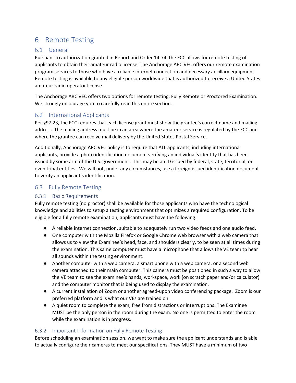# <span id="page-17-0"></span>6 Remote Testing

#### <span id="page-17-1"></span>6.1 General

Pursuant to authorization granted in Report and Order 14-74, the FCC allows for remote testing of applicants to obtain their amateur radio license. The Anchorage ARC VEC offers our remote examination program services to those who have a reliable internet connection and necessary ancillary equipment. Remote testing is available to any eligible person worldwide that is authorized to receive a United States amateur radio operator license.

The Anchorage ARC VEC offers two options for remote testing: Fully Remote or Proctored Examination. We strongly encourage you to carefully read this entire section.

#### <span id="page-17-2"></span>6.2 International Applicants

Per §97.23, the FCC requires that each license grant must show the grantee's correct name and mailing address. The mailing address must be in an area where the amateur service is regulated by the FCC and where the grantee can receive mail delivery by the United States Postal Service.

Additionally, Anchorage ARC VEC policy is to require that ALL applicants, including international applicants, provide a photo identification document verifying an individual's identity that has been issued by some arm of the U.S. government. This may be an ID issued by federal, state, territorial, or even tribal entities. We will not, under any circumstances, use a foreign-issued identification document to verify an applicant's identification.

#### <span id="page-17-3"></span>6.3 Fully Remote Testing

#### <span id="page-17-4"></span>6.3.1 Basic Requirements

Fully remote testing (no proctor) shall be available for those applicants who have the technological knowledge and abilities to setup a testing environment that optimizes a required configuration. To be eligible for a fully remote examination, applicants must have the following:

- A reliable internet connection, suitable to adequately run two video feeds and one audio feed.
- One computer with the Mozilla Firefox or Google Chrome web browser with a web camera that allows us to view the Examinee's head, face, and shoulders clearly, to be seen at all times during the examination. This same computer must have a microphone that allows the VE team tp hear all sounds within the testing environment.
- Another computer with a web camera, a smart phone with a web camera, or a second web camera attached to their main computer. This camera must be positioned in such a way to allow the VE team to see the examinee's hands, workspace, work (on scratch paper and/or calculator) and the computer monitor that is being used to display the examination.
- A current installation of Zoom or another agreed-upon video conferencing package. Zoom is our preferred platform and is what our VEs are trained on.
- A quiet room to complete the exam, free from distractions or interruptions. The Examinee MUST be the only person in the room during the exam. No one is permitted to enter the room while the examination is in progress.

#### <span id="page-17-5"></span>6.3.2 Important Information on Fully Remote Testing

Before scheduling an examination session, we want to make sure the applicant understands and is able to actually configure their cameras to meet our specifications. They MUST have a minimum of two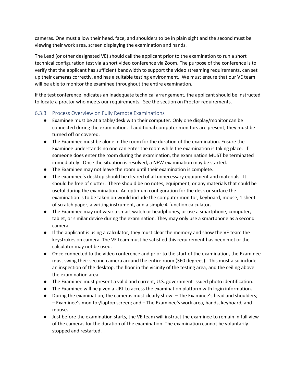cameras. One must allow their head, face, and shoulders to be in plain sight and the second must be viewing their work area, screen displaying the examination and hands.

The Lead (or other designated VE) should call the applicant prior to the examination to run a short technical configuration test via a short video conference via Zoom. The purpose of the conference is to verify that the applicant has sufficient bandwidth to support the video streaming requirements, can set up their cameras correctly, and has a suitable testing environment. We must ensure that our VE team will be able to monitor the examinee throughout the entire examination.

If the test conference indicates an inadequate technical arrangement, the applicant should be instructed to locate a proctor who meets our requirements. See the section on Proctor requirements.

#### <span id="page-18-0"></span>6.3.3 Process Overview on Fully Remote Examinations

- Examinee must be at a table/desk with their computer. Only one display/monitor can be connected during the examination. If additional computer monitors are present, they must be turned off or covered.
- The Examinee must be alone in the room for the duration of the examination. Ensure the Examinee understands no one can enter the room while the examination is taking place. If someone does enter the room during the examination, the examination MUST be terminated immediately. Once the situation is resolved, a NEW examination may be started.
- The Examinee may not leave the room until their examination is complete.
- The examinee's desktop should be cleared of all unnecessary equipment and materials. It should be free of clutter. There should be no notes, equipment, or any materials that could be useful during the examination. An optimum configuration for the desk or surface the examination is to be taken on would include the computer monitor, keyboard, mouse, 1 sheet of scratch paper, a writing instrument, and a simple 4-function calculator.
- The Examinee may not wear a smart watch or headphones, or use a smartphone, computer, tablet, or similar device during the examination. They may only use a smartphone as a second camera.
- If the applicant is using a calculator, they must clear the memory and show the VE team the keystrokes on camera. The VE team must be satisfied this requirement has been met or the calculator may not be used.
- Once connected to the video conference and prior to the start of the examination, the Examinee must swing their second camera around the entire room (360 degrees). This must also include an inspection of the desktop, the floor in the vicinity of the testing area, and the ceiling above the examination area.
- The Examinee must present a valid and current, U.S. government-issued photo identification.
- The Examinee will be given a URL to access the examination platform with login information.
- During the examination, the cameras must clearly show: The Examinee's head and shoulders; – Examinee's monitor/laptop screen; and – The Examinee's work area, hands, keyboard, and mouse.
- Just before the examination starts, the VE team will instruct the examinee to remain in full view of the cameras for the duration of the examination. The examination cannot be voluntarily stopped and restarted.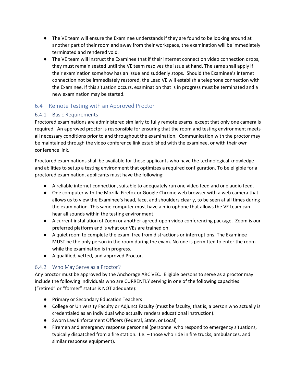- The VE team will ensure the Examinee understands if they are found to be looking around at another part of their room and away from their workspace, the examination will be immediately terminated and rendered void.
- The VE team will instruct the Examinee that if their internet connection video connection drops, they must remain seated until the VE team resolves the issue at hand. The same shall apply if their examination somehow has an issue and suddenly stops. Should the Examinee's internet connection not be immediately restored, the Lead VE will establish a telephone connection with the Examinee. If this situation occurs, examination that is in progress must be terminated and a new examination may be started.

#### <span id="page-19-0"></span>6.4 Remote Testing with an Approved Proctor

#### <span id="page-19-1"></span>6.4.1 Basic Requirements

Proctored examinations are administered similarly to fully remote exams, except that only one camera is required. An approved proctor is responsible for ensuring that the room and testing environment meets all necessary conditions prior to and throughout the examination. Communication with the proctor may be maintained through the video conference link established with the examinee, or with their own conference link.

Proctored examinations shall be available for those applicants who have the technological knowledge and abilities to setup a testing environment that optimizes a required configuration. To be eligible for a proctored examination, applicants must have the following:

- A reliable internet connection, suitable to adequately run one video feed and one audio feed.
- One computer with the Mozilla Firefox or Google Chrome web browser with a web camera that allows us to view the Examinee's head, face, and shoulders clearly, to be seen at all times during the examination. This same computer must have a microphone that allows the VE team can hear all sounds within the testing environment.
- A current installation of Zoom or another agreed-upon video conferencing package. Zoom is our preferred platform and is what our VEs are trained on.
- A quiet room to complete the exam, free from distractions or interruptions. The Examinee MUST be the only person in the room during the exam. No one is permitted to enter the room while the examination is in progress.
- A qualified, vetted, and approved Proctor.

#### <span id="page-19-2"></span>6.4.2 Who May Serve as a Proctor?

Any proctor must be approved by the Anchorage ARC VEC. Eligible persons to serve as a proctor may include the following individuals who are CURRENTLY serving in one of the following capacities ("retired" or "former" status is NOT adequate):

- Primary or Secondary Education Teachers
- College or University Faculty or Adjunct Faculty (must be faculty, that is, a person who actually is credentialed as an individual who actually renders educational instruction).
- Sworn Law Enforcement Officers (Federal, State, or Local)
- Firemen and emergency response personnel (personnel who respond to emergency situations, typically dispatched from a fire station. I.e. – those who ride in fire trucks, ambulances, and similar response equipment).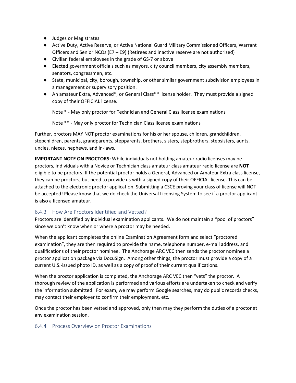- Judges or Magistrates
- Active Duty, Active Reserve, or Active National Guard Military Commissioned Officers, Warrant Officers and Senior NCOs (E7 – E9) (Retirees and inactive reserve are not authorized)
- Civilian federal employees in the grade of GS-7 or above
- Elected government officials such as mayors, city council members, city assembly members, senators, congressmen, etc.
- State, municipal, city, borough, township, or other similar government subdivision employees in a management or supervisory position.
- An amateur Extra, Advanced\*, or General Class\*\* license holder. They must provide a signed copy of their OFFICIAL license.

Note \* - May only proctor for Technician and General Class license examinations

Note \*\* - May only proctor for Technician Class license examinations

Further, proctors MAY NOT proctor examinations for his or her spouse, children, grandchildren, stepchildren, parents, grandparents, stepparents, brothers, sisters, stepbrothers, stepsisters, aunts, uncles, nieces, nephews, and in-laws.

**IMPORTANT NOTE ON PROCTORS:** While individuals not holding amateur radio licenses may be proctors, individuals with a Novice or Technician class amateur class amateur radio license are **NOT** eligible to be proctors. If the potential proctor holds a General, Advanced or Amateur Extra class license, they can be proctors, but need to provide us with a signed copy of their OFFICIAL license. This can be attached to the electronic proctor application. Submitting a CSCE proving your class of license will NOT be accepted! Please know that we do check the Universal Licensing System to see if a proctor applicant is also a licensed amateur.

#### <span id="page-20-0"></span>6.4.3 How Are Proctors Identified and Vetted?

Proctors are identified by individual examination applicants. We do not maintain a "pool of proctors" since we don't know when or where a proctor may be needed.

When the applicant completes the online Examination Agreement form and select "proctored examination", they are then required to provide the name, telephone number, e-mail address, and qualifications of their proctor nominee. The Anchorage ARC VEC then sends the proctor nominee a proctor application package via DocuSign. Among other things, the proctor must provide a copy of a current U.S.-issued photo ID, as well as a copy of proof of their current qualifications.

When the proctor application is completed, the Anchorage ARC VEC then "vets" the proctor. A thorough review of the application is performed and various efforts are undertaken to check and verify the information submitted. For exam, we may perform Google searches, may do public records checks, may contact their employer to confirm their employment, etc.

Once the proctor has been vetted and approved, only then may they perform the duties of a proctor at any examination session.

#### <span id="page-20-1"></span>6.4.4 Process Overview on Proctor Examinations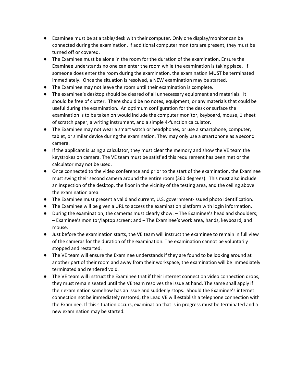- Examinee must be at a table/desk with their computer. Only one display/monitor can be connected during the examination. If additional computer monitors are present, they must be turned off or covered.
- The Examinee must be alone in the room for the duration of the examination. Ensure the Examinee understands no one can enter the room while the examination is taking place. If someone does enter the room during the examination, the examination MUST be terminated immediately. Once the situation is resolved, a NEW examination may be started.
- The Examinee may not leave the room until their examination is complete.
- The examinee's desktop should be cleared of all unnecessary equipment and materials. It should be free of clutter. There should be no notes, equipment, or any materials that could be useful during the examination. An optimum configuration for the desk or surface the examination is to be taken on would include the computer monitor, keyboard, mouse, 1 sheet of scratch paper, a writing instrument, and a simple 4-function calculator.
- The Examinee may not wear a smart watch or headphones, or use a smartphone, computer, tablet, or similar device during the examination. They may only use a smartphone as a second camera.
- If the applicant is using a calculator, they must clear the memory and show the VE team the keystrokes on camera. The VE team must be satisfied this requirement has been met or the calculator may not be used.
- Once connected to the video conference and prior to the start of the examination, the Examinee must swing their second camera around the entire room (360 degrees). This must also include an inspection of the desktop, the floor in the vicinity of the testing area, and the ceiling above the examination area.
- The Examinee must present a valid and current, U.S. government-issued photo identification.
- The Examinee will be given a URL to access the examination platform with login information.
- During the examination, the cameras must clearly show: The Examinee's head and shoulders; – Examinee's monitor/laptop screen; and – The Examinee's work area, hands, keyboard, and mouse.
- Just before the examination starts, the VE team will instruct the examinee to remain in full view of the cameras for the duration of the examination. The examination cannot be voluntarily stopped and restarted.
- The VE team will ensure the Examinee understands if they are found to be looking around at another part of their room and away from their workspace, the examination will be immediately terminated and rendered void.
- The VE team will instruct the Examinee that if their internet connection video connection drops, they must remain seated until the VE team resolves the issue at hand. The same shall apply if their examination somehow has an issue and suddenly stops. Should the Examinee's internet connection not be immediately restored, the Lead VE will establish a telephone connection with the Examinee. If this situation occurs, examination that is in progress must be terminated and a new examination may be started.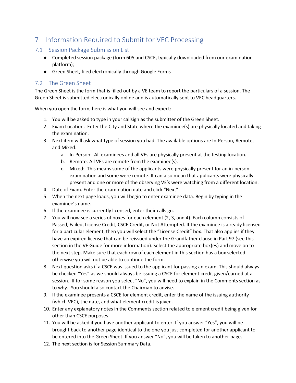# <span id="page-22-0"></span>7 Information Required to Submit for VEC Processing

#### <span id="page-22-1"></span>7.1 Session Package Submission List

- Completed session package (form 605 and CSCE, typically downloaded from our examination platform);
- Green Sheet, filed electronically through Google Forms

#### <span id="page-22-2"></span>7.2 The Green Sheet

The Green Sheet is the form that is filled out by a VE team to report the particulars of a session. The Green Sheet is submitted electronically online and is automatically sent to VEC headquarters.

When you open the form, here is what you will see and expect:

- 1. You will be asked to type in your callsign as the submitter of the Green Sheet.
- 2. Exam Location. Enter the City and State where the examinee(s) are physically located and taking the examination.
- 3. Next item will ask what type of session you had. The available options are In-Person, Remote, and Mixed.
	- a. In-Person: All examinees and all VEs are physically present at the testing location.
	- b. Remote: All VEs are remote from the examinee(s).
	- c. Mixed: This means some of the applicants were physically present for an in-person examination and some were remote. It can also mean that applicants were physically present and one or more of the observing VE's were watching from a different location.
- 4. Date of Exam. Enter the examination date and click "Next".
- 5. When the next page loads, you will begin to enter examinee data. Begin by typing in the examinee's name.
- 6. If the examinee is currently licensed, enter their callsign.
- 7. You will now see a series of boxes for each element (2, 3, and 4). Each column consists of Passed, Failed, License Credit, CSCE Credit, or Not Attempted. If the examinee is already licensed for a particular element, then you will select the "License Credit" box. That also applies if they have an expired license that can be reissued under the Grandfather clause in Part 97 (see this section in the VE Guide for more information). Select the appropriate box(es) and move on to the next step. Make sure that each row of each element in this section has a box selected otherwise you will not be able to continue the form.
- 8. Next question asks if a CSCE was issued to the applicant for passing an exam. This should always be checked "Yes" as we should always be issuing a CSCE for element credit given/earned at a session. If for some reason you select "No", you will need to explain in the Comments section as to why. You should also contact the Chairman to advise.
- 9. If the examinee presents a CSCE for element credit, enter the name of the issuing authority (which VEC), the date, and what element credit is given.
- 10. Enter any explanatory notes in the Comments section related to element credit being given for other than CSCE purposes.
- 11. You will be asked if you have another applicant to enter. If you answer "Yes", you will be brought back to another page identical to the one you just completed for another applicant to be entered into the Green Sheet. If you answer "No", you will be taken to another page.
- 12. The next section is for Session Summary Data.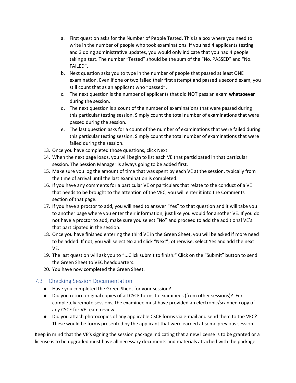- a. First question asks for the Number of People Tested. This is a box where you need to write in the number of people who took examinations. If you had 4 applicants testing and 3 doing administrative updates, you would only indicate that you had 4 people taking a test. The number "Tested" should be the sum of the "No. PASSED" and "No. FAILED".
- b. Next question asks you to type in the number of people that passed at least ONE examination. Even if one or two failed their first attempt and passed a second exam, you still count that as an applicant who "passed".
- c. The next question is the number of applicants that did NOT pass an exam **whatsoever** during the session.
- d. The next question is a count of the number of examinations that were passed during this particular testing session. Simply count the total number of examinations that were passed during the session.
- e. The last question asks for a count of the number of examinations that were failed during this particular testing session. Simply count the total number of examinations that were failed during the session.
- 13. Once you have completed those questions, click Next.
- 14. When the next page loads, you will begin to list each VE that participated in that particular session. The Session Manager is always going to be added first.
- 15. Make sure you log the amount of time that was spent by each VE at the session, typically from the time of arrival until the last examination is completed.
- 16. If you have any comments for a particular VE or particulars that relate to the conduct of a VE that needs to be brought to the attention of the VEC, you will enter it into the Comments section of that page.
- 17. If you have a proctor to add, you will need to answer "Yes" to that question and it will take you to another page where you enter their information, just like you would for another VE. If you do not have a proctor to add, make sure you select "No" and proceed to add the additional VE's that participated in the session.
- 18. Once you have finished entering the third VE in the Green Sheet, you will be asked if more need to be added. If not, you will select No and click "Next", otherwise, select Yes and add the next VE.
- 19. The last question will ask you to "...Click submit to finish." Click on the "Submit" button to send the Green Sheet to VEC headquarters.
- 20. You have now completed the Green Sheet.

#### <span id="page-23-0"></span>7.3 Checking Session Documentation

- Have you completed the Green Sheet for your session?
- Did you return original copies of all CSCE forms to examinees (from other sessions)? For completely remote sessions, the examinee must have provided an electronic/scanned copy of any CSCE for VE team review.
- Did you attach photocopies of any applicable CSCE forms via e-mail and send them to the VEC? These would be forms presented by the applicant that were earned at some previous session.

Keep in mind that the VE's signing the session package indicating that a new license is to be granted or a license is to be upgraded must have all necessary documents and materials attached with the package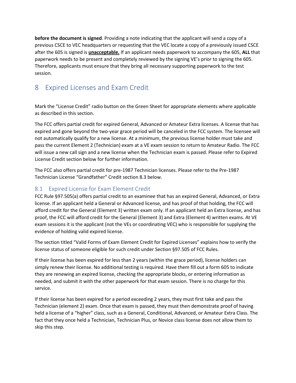**before the document is signed**. Providing a note indicating that the applicant will send a copy of a previous CSCE to VEC headquarters or requesting that the VEC locate a copy of a previously issued CSCE after the 605 is signed is **unacceptable.** If an applicant needs paperwork to accompany the 605, **ALL** that paperwork needs to be present and completely reviewed by the signing VE's prior to signing the 605. Therefore, applicants must ensure that they bring all necessary supporting paperwork to the test session.

# <span id="page-24-0"></span>8 Expired Licenses and Exam Credit

Mark the "License Credit" radio button on the Green Sheet for appropriate elements where applicable as described in this section.

The FCC offers partial credit for expired General, Advanced or Amateur Extra licenses. A license that has expired and gone beyond the two-year grace period will be canceled in the FCC system. The licensee will not automatically qualify for a new license. At a minimum, the previous license holder must take and pass the current Element 2 (Technician) exam at a VE exam session to return to Amateur Radio. The FCC will issue a new call sign and a new license when the Technician exam is passed. Please refer to Expired License Credit section below for further information.

The FCC also offers partial credit for pre-1987 Technician licenses. Please refer to the Pre-1987 Technician License "Grandfather" Credit section 8.3 below.

#### <span id="page-24-1"></span>8.1 Expired License for Exam Element Credit

FCC Rule §97.505(a) offers partial credit to an examinee that has an expired General, Advanced, or Extra license. If an applicant held a General or Advanced license, and has proof of that holding, the FCC will afford credit for the General (Element 3) written exam only. If an applicant held an Extra license, and has proof, the FCC will afford credit for the General (Element 3) and Extra (Element 4) written exams. At VE exam sessions it is the applicant (not the VEs or coordinating VEC) who is responsible for supplying the evidence of holding valid expired license.

The section titled "Valid Forms of Exam Element Credit for Expired Licenses" explains how to verify the license status of someone eligible for such credit under Section §97.505 of FCC Rules.

If their license has been expired for less than 2 years (within the grace period), license holders can simply renew their license. No additional testing is required. Have them fill out a form 605 to indicate they are renewing an expired license, checking the appropriate blocks, or entering information as needed, and submit it with the other paperwork for that exam session. There is no charge for this service.

If their license has been expired for a period exceeding 2 years, they must first take and pass the Technician (element 2) exam. Once that exam is passed, they must then demonstrate proof of having held a license of a "higher" class, such as a General, Conditional, Advanced, or Amateur Extra Class. The fact that they once held a Technician, Technician Plus, or Novice class license does not allow them to skip this step.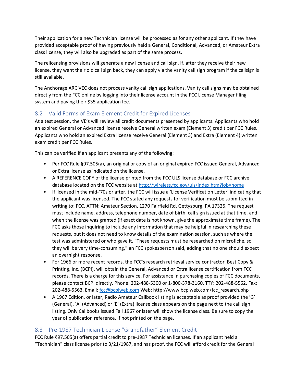Their application for a new Technician license will be processed as for any other applicant. If they have provided acceptable proof of having previously held a General, Conditional, Advanced, or Amateur Extra class license, they will also be upgraded as part of the same process.

The relicensing provisions will generate a new license and call sign. If, after they receive their new license, they want their old call sign back, they can apply via the vanity call sign program if the callsign is still available.

The Anchorage ARC VEC does not process vanity call sign applications. Vanity call signs may be obtained directly from the FCC online by logging into their license account in the FCC License Manager filing system and paying their \$35 application fee.

#### <span id="page-25-0"></span>8.2 Valid Forms of Exam Element Credit for Expired Licenses

At a test session, the VE's will review all credit documents presented by applicants. Applicants who hold an expired General or Advanced license receive General written exam (Element 3) credit per FCC Rules. Applicants who hold an expired Extra license receive General (Element 3) and Extra (Element 4) written exam credit per FCC Rules.

This can be verified if an applicant presents any of the following:

- Per FCC Rule §97.505(a), an original or copy of an original expired FCC issued General, Advanced or Extra license as indicated on the license.
- A REFERENCE COPY of the license printed from the FCC ULS license database or FCC archive database located on the FCC website at<http://wireless.fcc.gov/uls/index.htm?job=home>
- If licensed in the mid-'70s or after, the FCC will issue a 'License Verification Letter' indicating that the applicant was licensed. The FCC stated any requests for verification must be submitted in writing to: FCC, ATTN: Amateur Section, 1270 Fairfield Rd, Gettysburg, PA 17325. The request must include name, address, telephone number, date of birth, call sign issued at that time, and when the license was granted (if exact date is not known, give the approximate time frame). The FCC asks those inquiring to include any information that may be helpful in researching these requests, but it does not need to know details of the examination session, such as where the test was administered or who gave it. "These requests must be researched on microfiche, so they will be very time-consuming," an FCC spokesperson said, adding that no one should expect an overnight response.
- For 1966 or more recent records, the FCC's research retrieval service contractor, Best Copy & Printing, Inc. (BCPI), will obtain the General, Advanced or Extra license certification from FCC records. There is a charge for this service. For assistance in purchasing copies of FCC documents, please contact BCPI directly. Phone: 202-488-5300 or 1-800-378-3160. TTY: 202-488-5562. Fax: 202-488-5563. Email[: fcc@bcpiweb.com](mailto:fcc@bcpiweb.com) Web: http://www.bcpiweb.com/fcc\_research.php
- A 1967 Edition, or later, Radio Amateur Callbook listing is acceptable as proof provided the 'G' (General), 'A' (Advanced) or 'E' (Extra) license class appears on the page next to the call sign listing. Only Callbooks issued Fall 1967 or later will show the license class. Be sure to copy the year of publication reference, if not printed on the page.

#### <span id="page-25-1"></span>8.3 Pre-1987 Technician License "Grandfather" Element Credit

FCC Rule §97.505(a) offers partial credit to pre-1987 Technician licenses. If an applicant held a "Technician" class license prior to 3/21/1987, and has proof, the FCC will afford credit for the General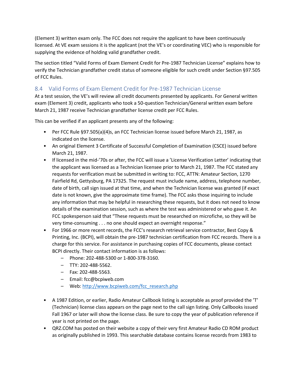(Element 3) written exam only. The FCC does not require the applicant to have been continuously licensed. At VE exam sessions it is the applicant (not the VE's or coordinating VEC) who is responsible for supplying the evidence of holding valid grandfather credit.

The section titled "Valid Forms of Exam Element Credit for Pre-1987 Technician License" explains how to verify the Technician grandfather credit status of someone eligible for such credit under Section §97.505 of FCC Rules.

#### <span id="page-26-0"></span>8.4 Valid Forms of Exam Element Credit for Pre-1987 Technician License

At a test session, the VE's will review all credit documents presented by applicants. For General written exam (Element 3) credit, applicants who took a 50-question Technician/General written exam before March 21, 1987 receive Technician grandfather license credit per FCC Rules.

This can be verified if an applicant presents any of the following:

- Per FCC Rule §97.505(a)(4)s, an FCC Technician license issued before March 21, 1987, as indicated on the license.
- An original Element 3 Certificate of Successful Completion of Examination (CSCE) issued before March 21, 1987.
- If licensed in the mid-'70s or after, the FCC will issue a 'License Verification Letter' indicating that the applicant was licensed as a Technician licensee prior to March 21, 1987. The FCC stated any requests for verification must be submitted in writing to: FCC, ATTN: Amateur Section, 1270 Fairfield Rd, Gettysburg, PA 17325. The request must include name, address, telephone number, date of birth, call sign issued at that time, and when the Technician license was granted (if exact date is not known, give the approximate time frame). The FCC asks those inquiring to include any information that may be helpful in researching these requests, but it does not need to know details of the examination session, such as where the test was administered or who gave it. An FCC spokesperson said that "These requests must be researched on microfiche, so they will be very time-consuming . . . no one should expect an overnight response."
- For 1966 or more recent records, the FCC's research retrieval service contractor, Best Copy & Printing, Inc. (BCPI), will obtain the pre-1987 technician certification from FCC records. There is a charge for this service. For assistance in purchasing copies of FCC documents, please contact BCPI directly. Their contact information is as follows:
	- Phone: 202-488-5300 or 1-800-378-3160.
	- TTY: 202-488-5562.
	- Fax: 202-488-5563.
	- Email: fcc@bcpiweb.com
	- Web[: http://www.bcpiweb.com/fcc\\_research.php](http://www.bcpiweb.com/fcc_research.php)
- A 1987 Edition, or earlier, Radio Amateur Callbook listing is acceptable as proof provided the 'T' (Technician) license class appears on the page next to the call sign listing. Only Callbooks issued Fall 1967 or later will show the license class. Be sure to copy the year of publication reference if year is not printed on the page.
- QRZ.COM has posted on their website a copy of their very first Amateur Radio CD ROM product as originally published in 1993. This searchable database contains license records from 1983 to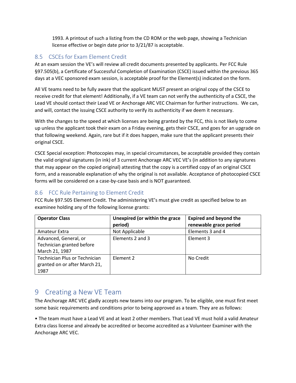1993. A printout of such a listing from the CD ROM or the web page, showing a Technician license effective or begin date prior to 3/21/87 is acceptable.

#### <span id="page-27-0"></span>8.5 CSCEs for Exam Element Credit

At an exam session the VE's will review all credit documents presented by applicants. Per FCC Rule §97.505(b), a Certificate of Successful Completion of Examination (CSCE) issued within the previous 365 days at a VEC sponsored exam session, is acceptable proof for the Element(s) indicated on the form.

All VE teams need to be fully aware that the applicant MUST present an original copy of the CSCE to receive credit for that element! Additionally, if a VE team can not verify the authenticity of a CSCE, the Lead VE should contact their Lead VE or Anchorage ARC VEC Chairman for further instructions. We can, and will, contact the issuing CSCE authority to verify its authenticity if we deem it necessary.

With the changes to the speed at which licenses are being granted by the FCC, this is not likely to come up unless the applicant took their exam on a Friday evening, gets their CSCE, and goes for an upgrade on that following weekend. Again, rare but if it does happen, make sure that the applicant presents their original CSCE.

CSCE Special exception: Photocopies may, in special circumstances, be acceptable provided they contain the valid original signatures (in ink) of 3 current Anchorage ARC VEC VE's (in addition to any signatures that may appear on the copied original) attesting that the copy is a certified copy of an original CSCE form, and a reasonable explanation of why the original is not available. Acceptance of photocopied CSCE forms will be considered on a case-by-case basis and is NOT guaranteed.

#### <span id="page-27-1"></span>8.6 FCC Rule Pertaining to Element Credit

FCC Rule §97.505 Element Credit. The administering VE's must give credit as specified below to an examinee holding any of the following license grants:

| <b>Operator Class</b>                                                  | Unexpired (or within the grace<br>period) | <b>Expired and beyond the</b><br>renewable grace period |
|------------------------------------------------------------------------|-------------------------------------------|---------------------------------------------------------|
| Amateur Extra                                                          | Not Applicable                            | Elements 3 and 4                                        |
| Advanced, General, or<br>Technician granted before<br>March 21, 1987   | Elements 2 and 3                          | Element 3                                               |
| Technician Plus or Technician<br>granted on or after March 21,<br>1987 | Element 2                                 | No Credit                                               |

# <span id="page-27-2"></span>9 Creating a New VE Team

The Anchorage ARC VEC gladly accepts new teams into our program. To be eligible, one must first meet some basic requirements and conditions prior to being approved as a team. They are as follows:

• The team must have a Lead VE and at least 2 other members. That Lead VE must hold a valid Amateur Extra class license and already be accredited or become accredited as a Volunteer Examiner with the Anchorage ARC VEC.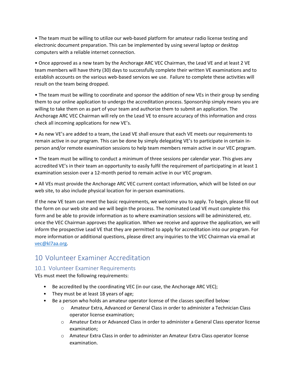• The team must be willing to utilize our web-based platform for amateur radio license testing and electronic document preparation. This can be implemented by using several laptop or desktop computers with a reliable internet connection.

• Once approved as a new team by the Anchorage ARC VEC Chairman, the Lead VE and at least 2 VE team members will have thirty (30) days to successfully complete their written VE examinations and to establish accounts on the various web-based services we use. Failure to complete these activities will result on the team being dropped.

• The team must be willing to coordinate and sponsor the addition of new VEs in their group by sending them to our online application to undergo the accreditation process. Sponsorship simply means you are willing to take them on as part of your team and authorize them to submit an application. The Anchorage ARC VEC Chairman will rely on the Lead VE to ensure accuracy of this information and cross check all incoming applications for new VE's.

• As new VE's are added to a team, the Lead VE shall ensure that each VE meets our requirements to remain active in our program. This can be done by simply delegating VE's to participate in certain inperson and/or remote examination sessions to help team members remain active in our VEC program.

• The team must be willing to conduct a minimum of three sessions per calendar year. This gives any accredited VE's in their team an opportunity to easily fulfil the requirement of participating in at least 1 examination session over a 12-month period to remain active in our VEC program.

• All VEs must provide the Anchorage ARC VEC current contact information, which will be listed on our web site, to also include physical location for in-person examinations.

If the new VE team can meet the basic requirements, we welcome you to apply. To begin, please fill out the form on our web site and we will begin the process. The nominated Lead VE must complete this form and be able to provide information as to where examination sessions will be administered, etc. once the VEC Chairman approves the application. When we receive and approve the application, we will inform the prospective Lead VE that they are permitted to apply for accreditation into our program. For more information or additional questions, please direct any inquiries to the VEC Chairman via email at [vec@kl7aa.org.](mailto:vec@kl7aa.org)

# <span id="page-28-0"></span>10 Volunteer Examiner Accreditation

#### <span id="page-28-1"></span>10.1 Volunteer Examiner Requirements

VEs must meet the following requirements:

- Be accredited by the coordinating VEC (in our case, the Anchorage ARC VEC);
- They must be at least 18 years of age;
- Be a person who holds an amateur operator license of the classes specified below:
	- o Amateur Extra, Advanced or General Class in order to administer a Technician Class operator license examination;
	- o Amateur Extra or Advanced Class in order to administer a General Class operator license examination;
	- o Amateur Extra Class in order to administer an Amateur Extra Class operator license examination.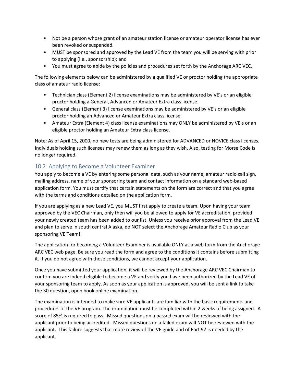- Not be a person whose grant of an amateur station license or amateur operator license has ever been revoked or suspended.
- MUST be sponsored and approved by the Lead VE from the team you will be serving with prior to applying (i.e., sponsorship); and
- You must agree to abide by the policies and procedures set forth by the Anchorage ARC VEC.

The following elements below can be administered by a qualified VE or proctor holding the appropriate class of amateur radio license:

- Technician class (Element 2) license examinations may be administered by VE's or an eligible proctor holding a General, Advanced or Amateur Extra class license.
- General class (Element 3) license examinations may be administered by VE's or an eligible proctor holding an Advanced or Amateur Extra class license.
- Amateur Extra (Element 4) class license examinations may ONLY be administered by VE's or an eligible proctor holding an Amateur Extra class license.

Note: As of April 15, 2000, no new tests are being administered for ADVANCED or NOVICE class licenses. Individuals holding such licenses may renew them as long as they wish. Also, testing for Morse Code is no longer required.

#### <span id="page-29-0"></span>10.2 Applying to Become a Volunteer Examiner

You apply to become a VE by entering some personal data, such as your name, amateur radio call sign, mailing address, name of your sponsoring team and contact information on a standard web-based application form. You must certify that certain statements on the form are correct and that you agree with the terms and conditions detailed on the application form.

If you are applying as a new Lead VE, you MUST first apply to create a team. Upon having your team approved by the VEC Chairman, only then will you be allowed to apply for VE accreditation, provided your newly created team has been added to our list. Unless you receive prior approval from the Lead VE and plan to serve in south central Alaska, do NOT select the Anchorage Amateur Radio Club as your sponsoring VE Team!

The application for becoming a Volunteer Examiner is available ONLY as a web form from the Anchorage ARC VEC web page. Be sure you read the form and agree to the conditions it contains before submitting it. If you do not agree with these conditions, we cannot accept your application.

Once you have submitted your application, it will be reviewed by the Anchorage ARC VEC Chairman to confirm you are indeed eligible to become a VE and verify you have been authorized by the Lead VE of your sponsoring team to apply. As soon as your application is approved, you will be sent a link to take the 30 question, open book online examination.

The examination is intended to make sure VE applicants are familiar with the basic requirements and procedures of the VE program. The examination must be completed within 2 weeks of being assigned. A score of 85% is required to pass. Missed questions on a passed exam will be reviewed with the applicant prior to being accredited. Missed questions on a failed exam will NOT be reviewed with the applicant. This failure suggests that more review of the VE guide and of Part 97 is needed by the applicant.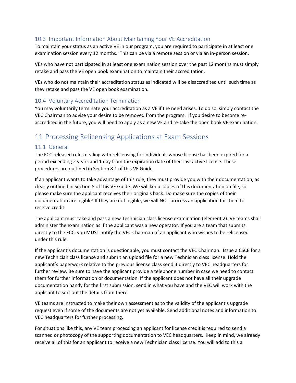#### <span id="page-30-0"></span>10.3 Important Information About Maintaining Your VE Accreditation

To maintain your status as an active VE in our program, you are required to participate in at least one examination session every 12 months. This can be via a remote session or via an in-person session.

VEs who have not participated in at least one examination session over the past 12 months must simply retake and pass the VE open book examination to maintain their accreditation.

VEs who do not maintain their accreditation status as indicated will be disaccredited until such time as they retake and pass the VE open book examination.

#### <span id="page-30-1"></span>10.4 Voluntary Accreditation Termination

You may voluntarily terminate your accreditation as a VE if the need arises. To do so, simply contact the VEC Chairman to advise your desire to be removed from the program. If you desire to become reaccredited in the future, you will need to apply as a new VE and re-take the open book VE examination.

# <span id="page-30-2"></span>11 Processing Relicensing Applications at Exam Sessions

#### <span id="page-30-3"></span>11.1 General

The FCC released rules dealing with relicensing for individuals whose license has been expired for a period exceeding 2 years and 1 day from the expiration date of their last active license. These procedures are outlined in Section 8.1 of this VE Guide.

If an applicant wants to take advantage of this rule, they must provide you with their documentation, as clearly outlined in Section 8 of this VE Guide. We will keep copies of this documentation on file, so please make sure the applicant receives their originals back. Do make sure the copies of their documentation are legible! If they are not legible, we will NOT process an application for them to receive credit.

The applicant must take and pass a new Technician class license examination (element 2). VE teams shall administer the examination as if the applicant was a new operator. If you are a team that submits directly to the FCC, you MUST notify the VEC Chairman of an applicant who wishes to be relicensed under this rule.

If the applicant's documentation is questionable, you must contact the VEC Chairman. Issue a CSCE for a new Technician class license and submit an upload file for a new Technician class license. Hold the applicant's paperwork relative to the previous license class send it directly to VEC headquarters for further review. Be sure to have the applicant provide a telephone number in case we need to contact them for further information or documentation. If the applicant does not have all their upgrade documentation handy for the first submission, send in what you have and the VEC will work with the applicant to sort out the details from there.

VE teams are instructed to make their own assessment as to the validity of the applicant's upgrade request even if some of the documents are not yet available. Send additional notes and information to VEC headquarters for further processing.

For situations like this, any VE team processing an applicant for license credit is required to send a scanned or photocopy of the supporting documentation to VEC headquarters. Keep in mind, we already receive all of this for an applicant to receive a new Technician class license. You will add to this a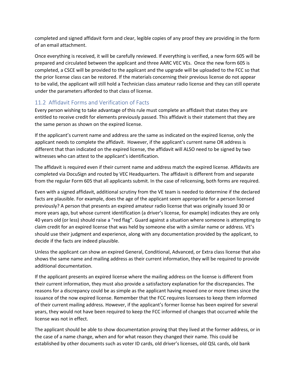completed and signed affidavit form and clear, legible copies of any proof they are providing in the form of an email attachment.

Once everything is received, it will be carefully reviewed. If everything is verified, a new form 605 will be prepared and circulated between the applicant and three AARC VEC VEs. Once the new form 605 is completed, a CSCE will be provided to the applicant and the upgrade will be uploaded to the FCC so that the prior license class can be restored. If the materials concerning their previous license do not appear to be valid, the applicant will still hold a Technician class amateur radio license and they can still operate under the parameters afforded to that class of license.

#### <span id="page-31-0"></span>11.2 Affidavit Forms and Verification of Facts

Every person wishing to take advantage of this rule must complete an affidavit that states they are entitled to receive credit for elements previously passed. This affidavit is their statement that they are the same person as shown on the expired license.

If the applicant's current name and address are the same as indicated on the expired license, only the applicant needs to complete the affidavit. However, if the applicant's current name OR address is different that than indicated on the expired license, the affidavit will ALSO need to be signed by two witnesses who can attest to the applicant's identification.

The affidavit is required even if their current name and address match the expired license. Affidavits are completed via DocuSign and routed by VEC Headquarters. The affidavit is different from and separate from the regular Form 605 that all applicants submit. In the case of relicensing, both forms are required.

Even with a signed affidavit, additional scrutiny from the VE team is needed to determine if the declared facts are plausible. For example, does the age of the applicant seem appropriate for a person licensed previously? A person that presents an expired amateur radio license that was originally issued 30 or more years ago, but whose current identification (a driver's license, for example) indicates they are only 40 years old (or less) should raise a "red flag". Guard against a situation where someone is attempting to claim credit for an expired license that was held by someone else with a similar name or address. VE's should use their judgment and experience, along with any documentation provided by the applicant, to decide if the facts are indeed plausible.

Unless the applicant can show an expired General, Conditional, Advanced, or Extra class license that also shows the same name and mailing address as their current information, they will be required to provide additional documentation.

If the applicant presents an expired license where the mailing address on the license is different from their current information, they must also provide a satisfactory explanation for the discrepancies. The reasons for a discrepancy could be as simple as the applicant having moved one or more times since the issuance of the now expired license. Remember that the FCC requires licensees to keep them informed of their current mailing address. However, if the applicant's former license has been expired for several years, they would not have been required to keep the FCC informed of changes that occurred while the license was not in effect.

The applicant should be able to show documentation proving that they lived at the former address, or in the case of a name change, when and for what reason they changed their name. This could be established by other documents such as voter ID cards, old driver's licenses, old QSL cards, old bank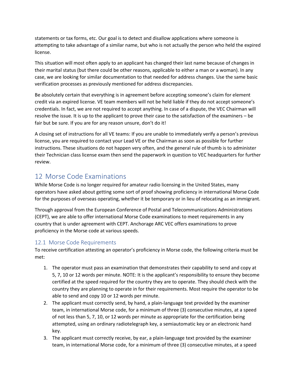statements or tax forms, etc. Our goal is to detect and disallow applications where someone is attempting to take advantage of a similar name, but who is not actually the person who held the expired license.

This situation will most often apply to an applicant has changed their last name because of changes in their marital status (but there could be other reasons, applicable to either a man or a woman). In any case, we are looking for similar documentation to that needed for address changes. Use the same basic verification processes as previously mentioned for address discrepancies.

Be absolutely certain that everything is in agreement before accepting someone's claim for element credit via an expired license. VE team members will not be held liable if they do not accept someone's credentials. In fact, we are not required to accept anything. In case of a dispute, the VEC Chairman will resolve the issue. It is up to the applicant to prove their case to the satisfaction of the examiners – be fair but be sure. If you are for any reason unsure, don't do it!

A closing set of instructions for all VE teams: If you are unable to immediately verify a person's previous license, you are required to contact your Lead VE or the Chairman as soon as possible for further instructions. These situations do not happen very often, and the general rule of thumb is to administer their Technician class license exam then send the paperwork in question to VEC headquarters for further review.

# <span id="page-32-0"></span>12 Morse Code Examinations

While Morse Code is no longer required for amateur radio licensing in the United States, many operators have asked about getting some sort of proof showing proficiency in international Morse Code for the purposes of overseas operating, whether it be temporary or in lieu of relocating as an immigrant.

Through approval from the European Conference of Postal and Telecommunications Administrations (CEPT), we are able to offer international Morse Code examinations to meet requirements in any country that is under agreement with CEPT. Anchorage ARC VEC offers examinations to prove proficiency in the Morse code at various speeds.

#### <span id="page-32-1"></span>12.1 Morse Code Requirements

To receive certification attesting an operator's proficiency in Morse code, the following criteria must be met:

- 1. The operator must pass an examination that demonstrates their capability to send and copy at 5, 7, 10 or 12 words per minute. NOTE: It is the applicant's responsibility to ensure they become certified at the speed required for the country they are to operate. They should check with the country they are planning to operate in for their requirements. Most require the operator to be able to send and copy 10 or 12 words per minute.
- 2. The applicant must correctly send, by hand, a plain-language text provided by the examiner team, in international Morse code, for a minimum of three (3) consecutive minutes, at a speed of not less than 5, 7, 10, or 12 words per minute as appropriate for the certification being attempted, using an ordinary radiotelegraph key, a semiautomatic key or an electronic hand key.
- 3. The applicant must correctly receive, by ear, a plain-language text provided by the examiner team, in international Morse code, for a minimum of three (3) consecutive minutes, at a speed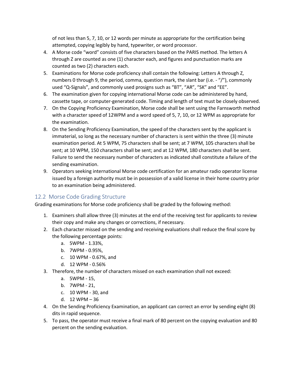of not less than 5, 7, 10, or 12 words per minute as appropriate for the certification being attempted, copying legibly by hand, typewriter, or word processor.

- 4. A Morse code "word" consists of five characters based on the PARIS method. The letters A through Z are counted as one (1) character each, and figures and punctuation marks are counted as two (2) characters each.
- 5. Examinations for Morse code proficiency shall contain the following: Letters A through Z, numbers 0 through 9, the period, comma, question mark, the slant bar (i.e.  $\cdot$  "/"), commonly used "Q-Signals", and commonly used prosigns such as "BT", "AR", "SK" and "EE".
- 6. The examination given for copying international Morse code can be administered by hand, cassette tape, or computer-generated code. Timing and length of text must be closely observed.
- 7. On the Copying Proficiency Examination, Morse code shall be sent using the Farnsworth method with a character speed of 12WPM and a word speed of 5, 7, 10, or 12 WPM as appropriate for the examination.
- 8. On the Sending Proficiency Examination, the speed of the characters sent by the applicant is immaterial, so long as the necessary number of characters is sent within the three (3) minute examination period. At 5 WPM, 75 characters shall be sent; at 7 WPM, 105 characters shall be sent; at 10 WPM, 150 characters shall be sent; and at 12 WPM, 180 characters shall be sent. Failure to send the necessary number of characters as indicated shall constitute a failure of the sending examination.
- 9. Operators seeking international Morse code certification for an amateur radio operator license issued by a foreign authority must be in possession of a valid license in their home country prior to an examination being administered.

#### <span id="page-33-0"></span>12.2 Morse Code Grading Structure

Grading examinations for Morse code proficiency shall be graded by the following method:

- 1. Examiners shall allow three (3) minutes at the end of the receiving test for applicants to review their copy and make any changes or corrections, if necessary.
- 2. Each character missed on the sending and receiving evaluations shall reduce the final score by the following percentage points:
	- a. 5WPM 1.33%,
	- b. 7WPM 0.95%,
	- c. 10 WPM 0.67%, and
	- d. 12 WPM 0.56%
- 3. Therefore, the number of characters missed on each examination shall not exceed:
	- a. 5WPM 15,
	- b. 7WPM 21,
	- c. 10 WPM 30, and
	- d. 12 WPM 36
- 4. On the Sending Proficiency Examination, an applicant can correct an error by sending eight (8) dits in rapid sequence.
- 5. To pass, the operator must receive a final mark of 80 percent on the copying evaluation and 80 percent on the sending evaluation.